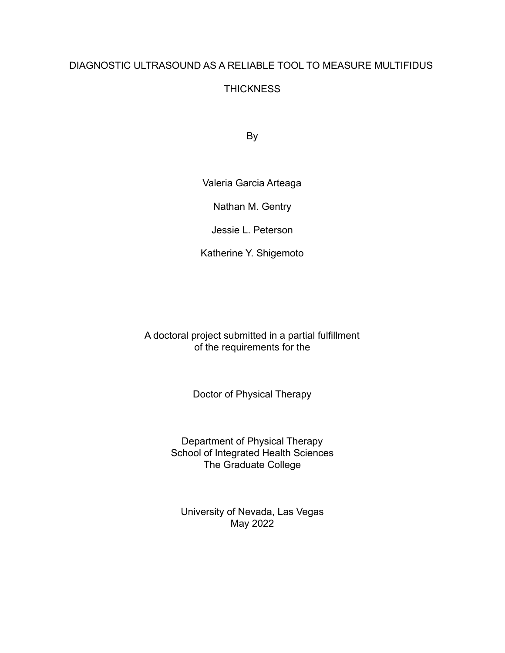# DIAGNOSTIC ULTRASOUND AS A RELIABLE TOOL TO MEASURE MULTIFIDUS

## **THICKNESS**

By

Valeria Garcia Arteaga

Nathan M. Gentry

Jessie L. Peterson

Katherine Y. Shigemoto

A doctoral project submitted in a partial fulfillment of the requirements for the

Doctor of Physical Therapy

Department of Physical Therapy School of Integrated Health Sciences The Graduate College

University of Nevada, Las Vegas May 2022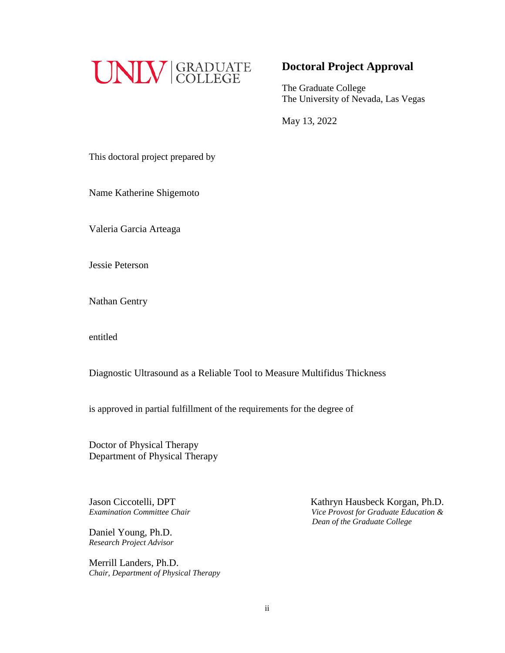

## **Doctoral Project Approval**

The Graduate College The University of Nevada, Las Vegas

May 13, 2022

This doctoral project prepared by

Name Katherine Shigemoto

Valeria Garcia Arteaga

Jessie Peterson

Nathan Gentry

entitled

Diagnostic Ultrasound as a Reliable Tool to Measure Multifidus Thickness

is approved in partial fulfillment of the requirements for the degree of

Doctor of Physical Therapy Department of Physical Therapy

Jason Ciccotelli, DPT

Daniel Young, Ph.D. *Research Project Advisor*

Merrill Landers, Ph.D. *Chair, Department of Physical Therapy*

Jason Ciccotelli, DPT<br> *Examination Committee Chair*<br> *Kathryn Hausbeck Korgan, Ph.D.*<br> *Vice Provost for Graduate Education & Examination Committee Chair Vice Provost for Graduate Education & Dean of the Graduate College*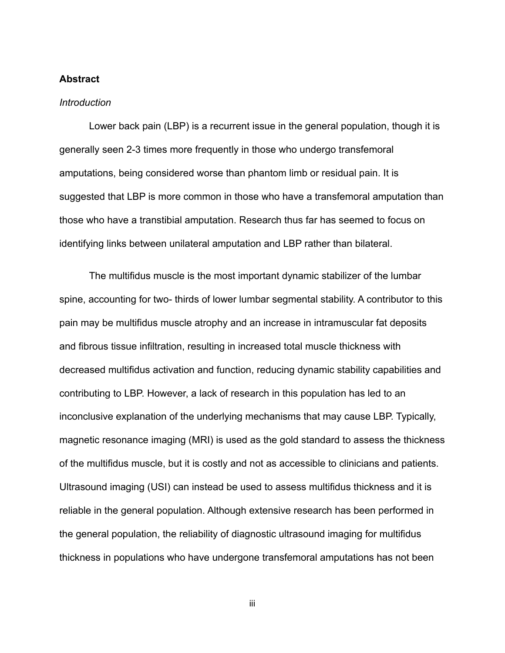#### **Abstract**

#### *Introduction*

Lower back pain (LBP) is a recurrent issue in the general population, though it is generally seen 2-3 times more frequently in those who undergo transfemoral amputations, being considered worse than phantom limb or residual pain. It is suggested that LBP is more common in those who have a transfemoral amputation than those who have a transtibial amputation. Research thus far has seemed to focus on identifying links between unilateral amputation and LBP rather than bilateral.

The multifidus muscle is the most important dynamic stabilizer of the lumbar spine, accounting for two- thirds of lower lumbar segmental stability. A contributor to this pain may be multifidus muscle atrophy and an increase in intramuscular fat deposits and fibrous tissue infiltration, resulting in increased total muscle thickness with decreased multifidus activation and function, reducing dynamic stability capabilities and contributing to LBP. However, a lack of research in this population has led to an inconclusive explanation of the underlying mechanisms that may cause LBP. Typically, magnetic resonance imaging (MRI) is used as the gold standard to assess the thickness of the multifidus muscle, but it is costly and not as accessible to clinicians and patients. Ultrasound imaging (USI) can instead be used to assess multifidus thickness and it is reliable in the general population. Although extensive research has been performed in the general population, the reliability of diagnostic ultrasound imaging for multifidus thickness in populations who have undergone transfemoral amputations has not been

iii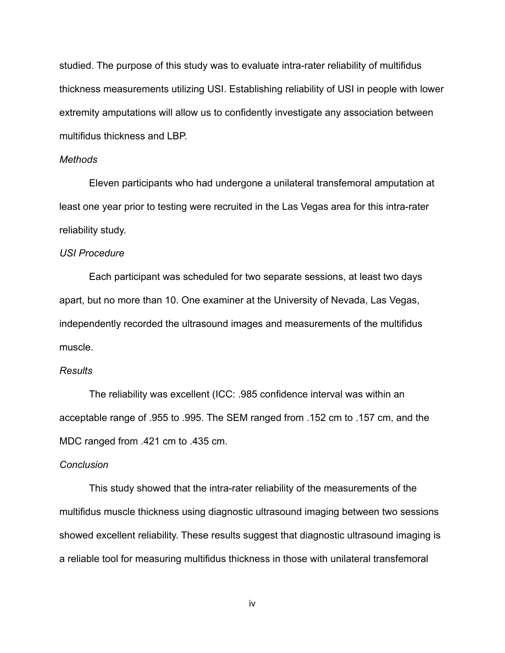studied. The purpose of this study was to evaluate intra-rater reliability of multifidus thickness measurements utilizing USI. Establishing reliability of USI in people with lower extremity amputations will allow us to confidently investigate any association between multifidus thickness and LBP.

#### *Methods*

Eleven participants who had undergone a unilateral transfemoral amputation at least one year prior to testing were recruited in the Las Vegas area for this intra-rater reliability study.

#### *USI Procedure*

Each participant was scheduled for two separate sessions, at least two days apart, but no more than 10. One examiner at the University of Nevada, Las Vegas, independently recorded the ultrasound images and measurements of the multifidus muscle.

#### *Results*

The reliability was excellent (ICC: .985 confidence interval was within an acceptable range of .955 to .995. The SEM ranged from .152 cm to .157 cm, and the MDC ranged from .421 cm to .435 cm.

### *Conclusion*

This study showed that the intra-rater reliability of the measurements of the multifidus muscle thickness using diagnostic ultrasound imaging between two sessions showed excellent reliability. These results suggest that diagnostic ultrasound imaging is a reliable tool for measuring multifidus thickness in those with unilateral transfemoral

iv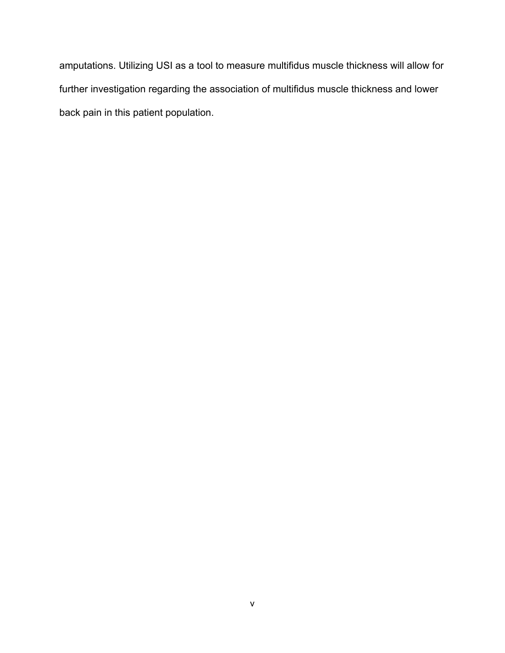amputations. Utilizing USI as a tool to measure multifidus muscle thickness will allow for further investigation regarding the association of multifidus muscle thickness and lower back pain in this patient population.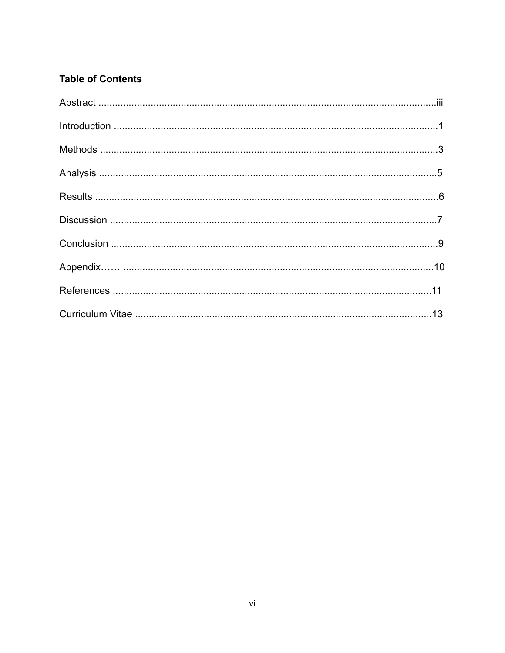# **Table of Contents**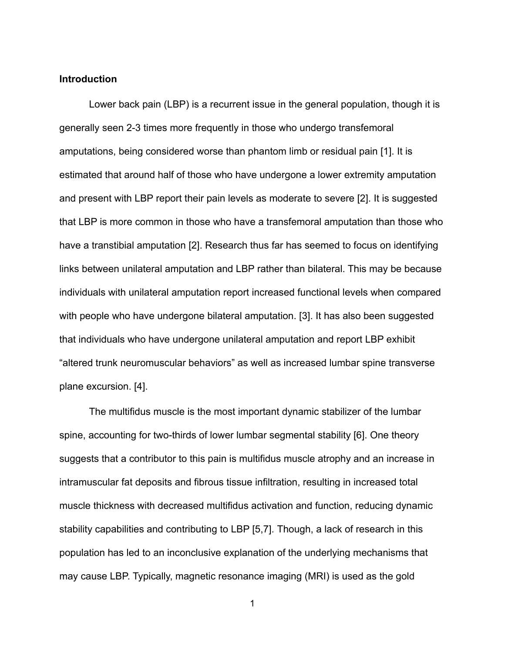#### **Introduction**

Lower back pain (LBP) is a recurrent issue in the general population, though it is generally seen 2-3 times more frequently in those who undergo transfemoral amputations, being considered worse than phantom limb or residual pain [1]. It is estimated that around half of those who have undergone a lower extremity amputation and present with LBP report their pain levels as moderate to severe [2]. It is suggested that LBP is more common in those who have a transfemoral amputation than those who have a transtibial amputation [2]. Research thus far has seemed to focus on identifying links between unilateral amputation and LBP rather than bilateral. This may be because individuals with unilateral amputation report increased functional levels when compared with people who have undergone bilateral amputation. [3]. It has also been suggested that individuals who have undergone unilateral amputation and report LBP exhibit "altered trunk neuromuscular behaviors" as well as increased lumbar spine transverse plane excursion. [4].

The multifidus muscle is the most important dynamic stabilizer of the lumbar spine, accounting for two-thirds of lower lumbar segmental stability [6]. One theory suggests that a contributor to this pain is multifidus muscle atrophy and an increase in intramuscular fat deposits and fibrous tissue infiltration, resulting in increased total muscle thickness with decreased multifidus activation and function, reducing dynamic stability capabilities and contributing to LBP [5,7]*.* Though, a lack of research in this population has led to an inconclusive explanation of the underlying mechanisms that may cause LBP. Typically, magnetic resonance imaging (MRI) is used as the gold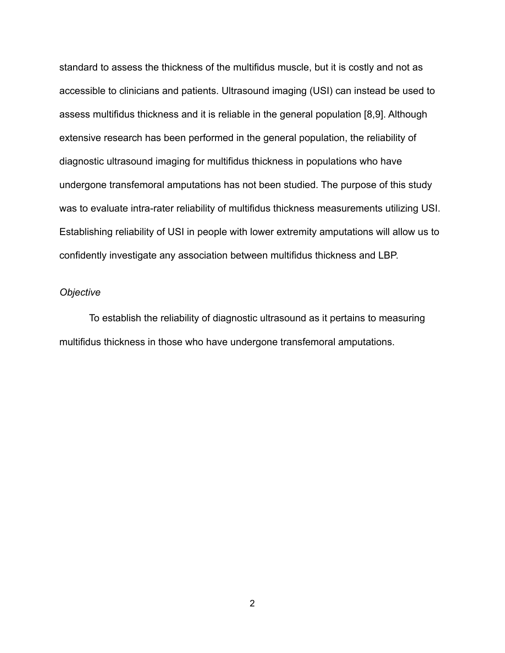standard to assess the thickness of the multifidus muscle, but it is costly and not as accessible to clinicians and patients. Ultrasound imaging (USI) can instead be used to assess multifidus thickness and it is reliable in the general population [8,9]. Although extensive research has been performed in the general population, the reliability of diagnostic ultrasound imaging for multifidus thickness in populations who have undergone transfemoral amputations has not been studied. The purpose of this study was to evaluate intra-rater reliability of multifidus thickness measurements utilizing USI. Establishing reliability of USI in people with lower extremity amputations will allow us to confidently investigate any association between multifidus thickness and LBP.

### *Objective*

To establish the reliability of diagnostic ultrasound as it pertains to measuring multifidus thickness in those who have undergone transfemoral amputations.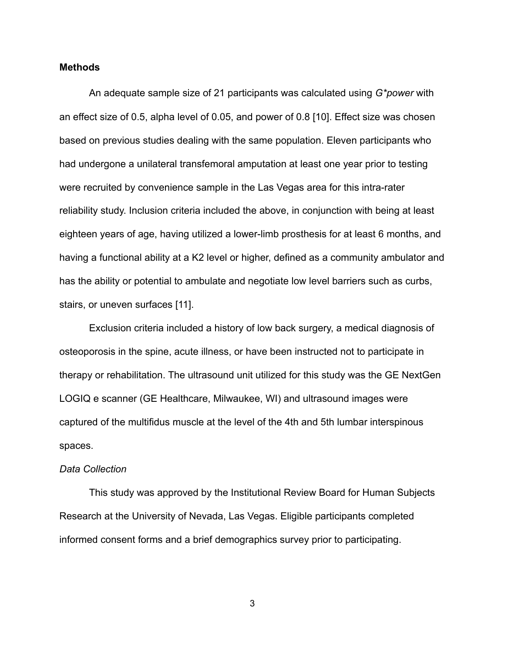### **Methods**

An adequate sample size of 21 participants was calculated using *G\*power* with an effect size of 0.5, alpha level of 0.05, and power of 0.8 [10]. Effect size was chosen based on previous studies dealing with the same population. Eleven participants who had undergone a unilateral transfemoral amputation at least one year prior to testing were recruited by convenience sample in the Las Vegas area for this intra-rater reliability study. Inclusion criteria included the above, in conjunction with being at least eighteen years of age, having utilized a lower-limb prosthesis for at least 6 months, and having a functional ability at a K2 level or higher, defined as a community ambulator and has the ability or potential to ambulate and negotiate low level barriers such as curbs, stairs, or uneven surfaces [11].

Exclusion criteria included a history of low back surgery, a medical diagnosis of osteoporosis in the spine, acute illness, or have been instructed not to participate in therapy or rehabilitation. The ultrasound unit utilized for this study was the GE NextGen LOGIQ e scanner (GE Healthcare, Milwaukee, WI) and ultrasound images were captured of the multifidus muscle at the level of the 4th and 5th lumbar interspinous spaces.

### *Data Collection*

This study was approved by the Institutional Review Board for Human Subjects Research at the University of Nevada, Las Vegas. Eligible participants completed informed consent forms and a brief demographics survey prior to participating.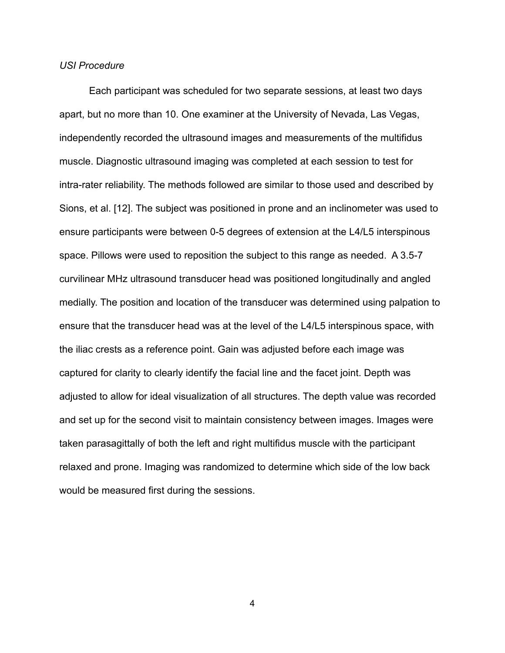#### *USI Procedure*

Each participant was scheduled for two separate sessions, at least two days apart, but no more than 10. One examiner at the University of Nevada, Las Vegas, independently recorded the ultrasound images and measurements of the multifidus muscle. Diagnostic ultrasound imaging was completed at each session to test for intra-rater reliability. The methods followed are similar to those used and described by Sions, et al. [12]. The subject was positioned in prone and an inclinometer was used to ensure participants were between 0-5 degrees of extension at the L4/L5 interspinous space. Pillows were used to reposition the subject to this range as needed. A 3.5-7 curvilinear MHz ultrasound transducer head was positioned longitudinally and angled medially. The position and location of the transducer was determined using palpation to ensure that the transducer head was at the level of the L4/L5 interspinous space, with the iliac crests as a reference point. Gain was adjusted before each image was captured for clarity to clearly identify the facial line and the facet joint. Depth was adjusted to allow for ideal visualization of all structures. The depth value was recorded and set up for the second visit to maintain consistency between images. Images were taken parasagittally of both the left and right multifidus muscle with the participant relaxed and prone. Imaging was randomized to determine which side of the low back would be measured first during the sessions.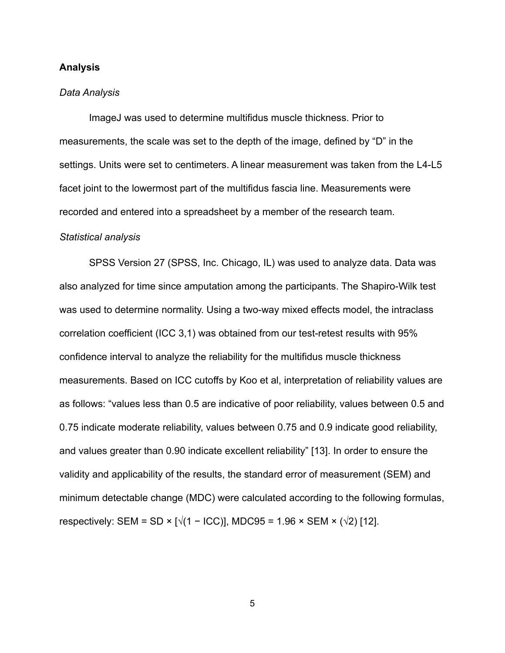### **Analysis**

#### *Data Analysis*

ImageJ was used to determine multifidus muscle thickness. Prior to measurements, the scale was set to the depth of the image, defined by "D" in the settings. Units were set to centimeters. A linear measurement was taken from the L4-L5 facet joint to the lowermost part of the multifidus fascia line. Measurements were recorded and entered into a spreadsheet by a member of the research team.

#### *Statistical analysis*

SPSS Version 27 (SPSS, Inc. Chicago, IL) was used to analyze data. Data was also analyzed for time since amputation among the participants. The Shapiro-Wilk test was used to determine normality. Using a two-way mixed effects model, the intraclass correlation coefficient (ICC 3,1) was obtained from our test-retest results with 95% confidence interval to analyze the reliability for the multifidus muscle thickness measurements. Based on ICC cutoffs by Koo et al, interpretation of reliability values are as follows: "values less than 0.5 are indicative of poor reliability, values between 0.5 and 0.75 indicate moderate reliability, values between 0.75 and 0.9 indicate good reliability, and values greater than 0.90 indicate excellent reliability" [13]. In order to ensure the validity and applicability of the results, the standard error of measurement (SEM) and minimum detectable change (MDC) were calculated according to the following formulas, respectively: SEM = SD × [ $\sqrt{(1 - \text{ICC})}$ ], MDC95 = 1.96 × SEM × ( $\sqrt{2}$ ) [12].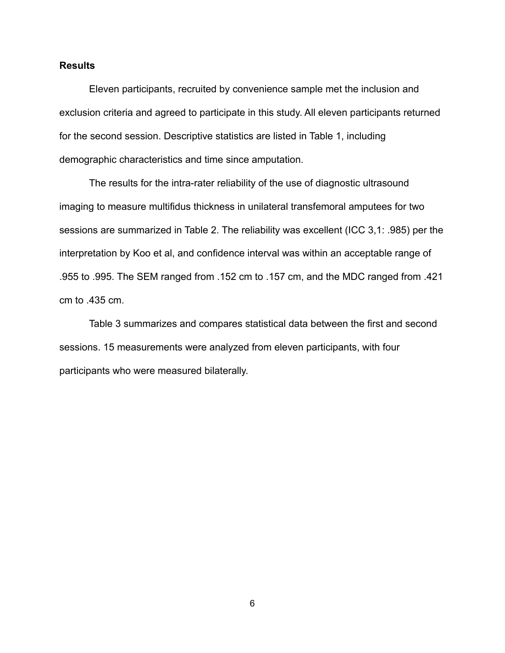### **Results**

Eleven participants, recruited by convenience sample met the inclusion and exclusion criteria and agreed to participate in this study. All eleven participants returned for the second session. Descriptive statistics are listed in Table 1, including demographic characteristics and time since amputation.

The results for the intra-rater reliability of the use of diagnostic ultrasound imaging to measure multifidus thickness in unilateral transfemoral amputees for two sessions are summarized in Table 2. The reliability was excellent (ICC 3,1: .985) per the interpretation by Koo et al, and confidence interval was within an acceptable range of .955 to .995. The SEM ranged from .152 cm to .157 cm, and the MDC ranged from .421 cm to .435 cm.

Table 3 summarizes and compares statistical data between the first and second sessions. 15 measurements were analyzed from eleven participants, with four participants who were measured bilaterally.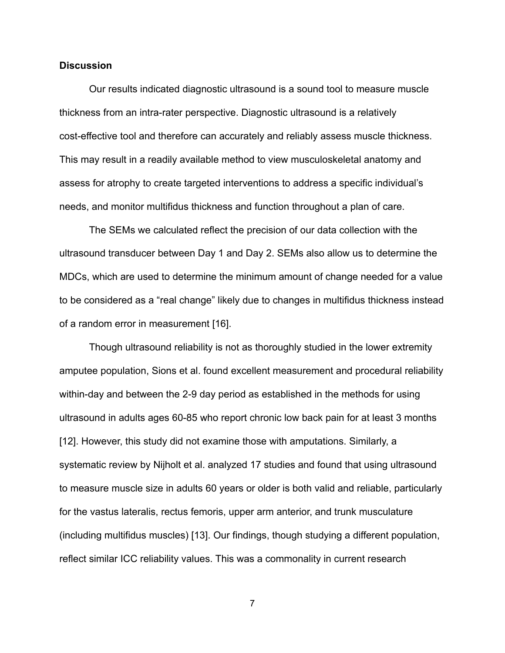### **Discussion**

Our results indicated diagnostic ultrasound is a sound tool to measure muscle thickness from an intra-rater perspective. Diagnostic ultrasound is a relatively cost-effective tool and therefore can accurately and reliably assess muscle thickness. This may result in a readily available method to view musculoskeletal anatomy and assess for atrophy to create targeted interventions to address a specific individual's needs, and monitor multifidus thickness and function throughout a plan of care.

The SEMs we calculated reflect the precision of our data collection with the ultrasound transducer between Day 1 and Day 2. SEMs also allow us to determine the MDCs, which are used to determine the minimum amount of change needed for a value to be considered as a "real change" likely due to changes in multifidus thickness instead of a random error in measurement [16].

Though ultrasound reliability is not as thoroughly studied in the lower extremity amputee population, Sions et al. found excellent measurement and procedural reliability within-day and between the 2-9 day period as established in the methods for using ultrasound in adults ages 60-85 who report chronic low back pain for at least 3 months [12]. However, this study did not examine those with amputations. Similarly, a systematic review by Nijholt et al. analyzed 17 studies and found that using ultrasound to measure muscle size in adults 60 years or older is both valid and reliable, particularly for the vastus lateralis, rectus femoris, upper arm anterior, and trunk musculature (including multifidus muscles) [13]. Our findings, though studying a different population, reflect similar ICC reliability values. This was a commonality in current research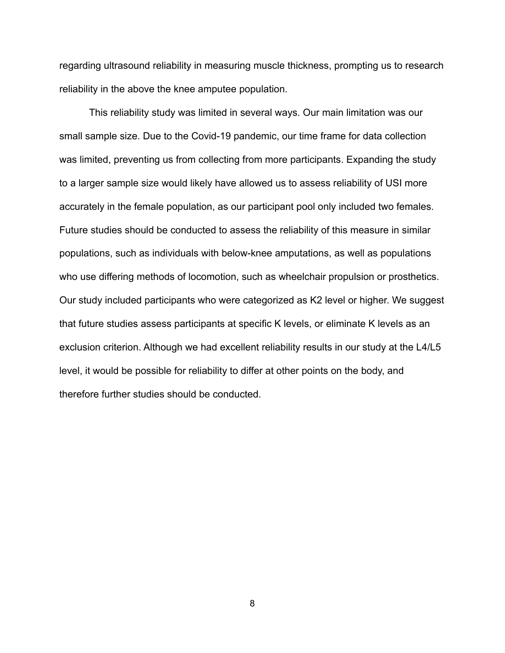regarding ultrasound reliability in measuring muscle thickness, prompting us to research reliability in the above the knee amputee population.

This reliability study was limited in several ways. Our main limitation was our small sample size. Due to the Covid-19 pandemic, our time frame for data collection was limited, preventing us from collecting from more participants. Expanding the study to a larger sample size would likely have allowed us to assess reliability of USI more accurately in the female population, as our participant pool only included two females. Future studies should be conducted to assess the reliability of this measure in similar populations, such as individuals with below-knee amputations, as well as populations who use differing methods of locomotion, such as wheelchair propulsion or prosthetics. Our study included participants who were categorized as K2 level or higher. We suggest that future studies assess participants at specific K levels, or eliminate K levels as an exclusion criterion. Although we had excellent reliability results in our study at the L4/L5 level, it would be possible for reliability to differ at other points on the body, and therefore further studies should be conducted.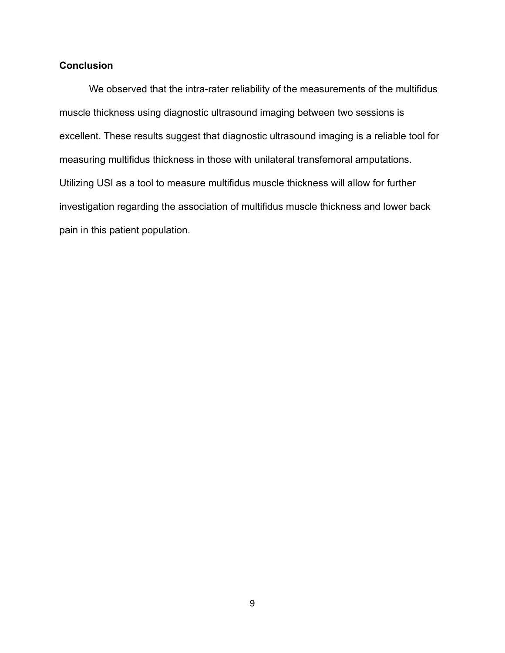## **Conclusion**

We observed that the intra-rater reliability of the measurements of the multifidus muscle thickness using diagnostic ultrasound imaging between two sessions is excellent. These results suggest that diagnostic ultrasound imaging is a reliable tool for measuring multifidus thickness in those with unilateral transfemoral amputations. Utilizing USI as a tool to measure multifidus muscle thickness will allow for further investigation regarding the association of multifidus muscle thickness and lower back pain in this patient population.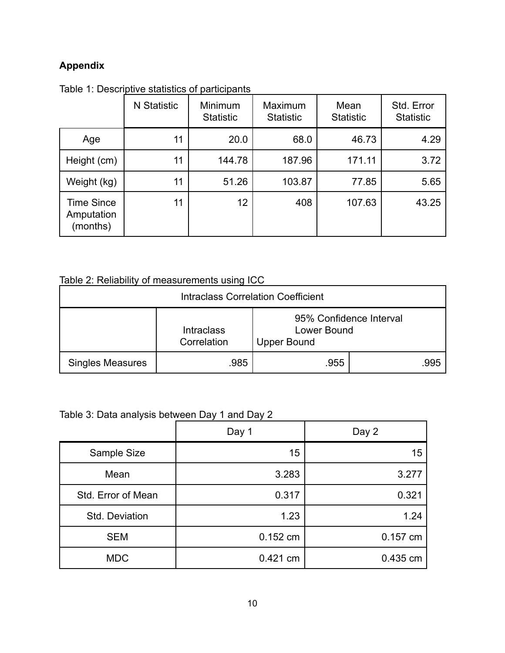# **Appendix**

| Table 1: Descriptive statistics of participants |             |                             |                             |                          |                                |  |
|-------------------------------------------------|-------------|-----------------------------|-----------------------------|--------------------------|--------------------------------|--|
|                                                 | N Statistic | Minimum<br><b>Statistic</b> | Maximum<br><b>Statistic</b> | Mean<br><b>Statistic</b> | Std. Error<br><b>Statistic</b> |  |
| Age                                             | 11          | 20.0                        | 68.0                        | 46.73                    | 4.29                           |  |
| Height (cm)                                     | 11          | 144.78                      | 187.96                      | 171.11                   | 3.72                           |  |
| Weight (kg)                                     | 11          | 51.26                       | 103.87                      | 77.85                    | 5.65                           |  |
| <b>Time Since</b><br>Amputation<br>(months)     | 11          | 12                          | 408                         | 107.63                   | 43.25                          |  |

Table 1: Descriptive statistics of participants

# Table 2: Reliability of measurements using ICC

| <b>Intraclass Correlation Coefficient</b> |                                  |                                   |                         |  |  |
|-------------------------------------------|----------------------------------|-----------------------------------|-------------------------|--|--|
|                                           | <b>Intraclass</b><br>Correlation | Lower Bound<br><b>Upper Bound</b> | 95% Confidence Interval |  |  |
| <b>Singles Measures</b>                   | .985                             | .955                              | .995                    |  |  |

# Table 3: Data analysis between Day 1 and Day 2

|                    | Day 1      | Day 2    |
|--------------------|------------|----------|
| Sample Size        | 15         | 15       |
| Mean               | 3.283      | 3.277    |
| Std. Error of Mean | 0.317      | 0.321    |
| Std. Deviation     | 1.23       | 1.24     |
| <b>SEM</b>         | 0.152 cm   | 0.157 cm |
| <b>MDC</b>         | $0.421$ cm | 0.435 cm |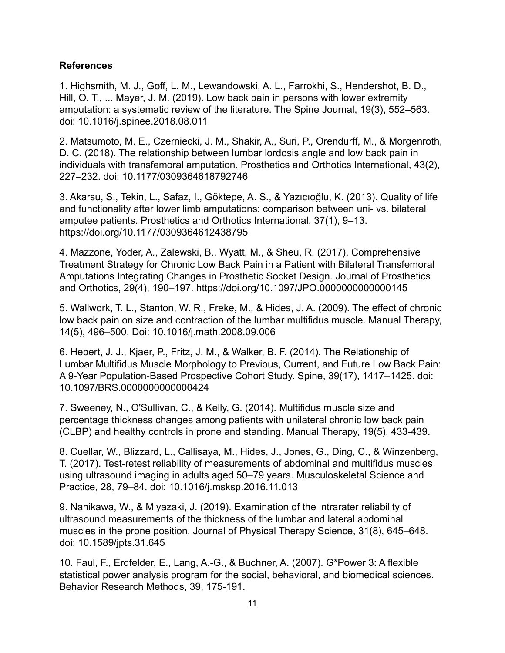## **References**

1. Highsmith, M. J., Goff, L. M., Lewandowski, A. L., Farrokhi, S., Hendershot, B. D., Hill, O. T., ... Mayer, J. M. (2019). Low back pain in persons with lower extremity amputation: a systematic review of the literature. The Spine Journal, 19(3), 552–563. doi: 10.1016/j.spinee.2018.08.011

2. Matsumoto, M. E., Czerniecki, J. M., Shakir, A., Suri, P., Orendurff, M., & Morgenroth, D. C. (2018). The relationship between lumbar lordosis angle and low back pain in individuals with transfemoral amputation. Prosthetics and Orthotics International, 43(2), 227–232. doi: 10.1177/0309364618792746

3. Akarsu, S., Tekin, L., Safaz, I., Göktepe, A. S., & Yazıcıoğlu, K. (2013). Quality of life and functionality after lower limb amputations: comparison between uni- vs. bilateral amputee patients. Prosthetics and Orthotics International, 37(1), 9–13. https://doi.org/10.1177/0309364612438795

4. Mazzone, Yoder, A., Zalewski, B., Wyatt, M., & Sheu, R. (2017). Comprehensive Treatment Strategy for Chronic Low Back Pain in a Patient with Bilateral Transfemoral Amputations Integrating Changes in Prosthetic Socket Design. Journal of Prosthetics and Orthotics, 29(4), 190–197. https://doi.org/10.1097/JPO.0000000000000145

5. Wallwork, T. L., Stanton, W. R., Freke, M., & Hides, J. A. (2009). The effect of chronic low back pain on size and contraction of the lumbar multifidus muscle. Manual Therapy, 14(5), 496–500. Doi: 10.1016/j.math.2008.09.006

6. Hebert, J. J., Kjaer, P., Fritz, J. M., & Walker, B. F. (2014). The Relationship of Lumbar Multifidus Muscle Morphology to Previous, Current, and Future Low Back Pain: A 9-Year Population-Based Prospective Cohort Study. Spine, 39(17), 1417–1425. doi: 10.1097/BRS.0000000000000424

7. Sweeney, N., O'Sullivan, C., & Kelly, G. (2014). Multifidus muscle size and percentage thickness changes among patients with unilateral chronic low back pain (CLBP) and healthy controls in prone and standing. Manual Therapy, 19(5), 433-439.

8. Cuellar, W., Blizzard, L., Callisaya, M., Hides, J., Jones, G., Ding, C., & Winzenberg, T. (2017). Test-retest reliability of measurements of abdominal and multifidus muscles using ultrasound imaging in adults aged 50–79 years. Musculoskeletal Science and Practice, 28, 79–84. doi: 10.1016/j.msksp.2016.11.013

9. Nanikawa, W., & Miyazaki, J. (2019). Examination of the intrarater reliability of ultrasound measurements of the thickness of the lumbar and lateral abdominal muscles in the prone position. Journal of Physical Therapy Science, 31(8), 645–648. doi: 10.1589/jpts.31.645

10. Faul, F., Erdfelder, E., Lang, A.-G., & Buchner, A. (2007). G\*Power 3: A flexible statistical power analysis program for the social, behavioral, and biomedical sciences. Behavior Research Methods, 39, 175-191.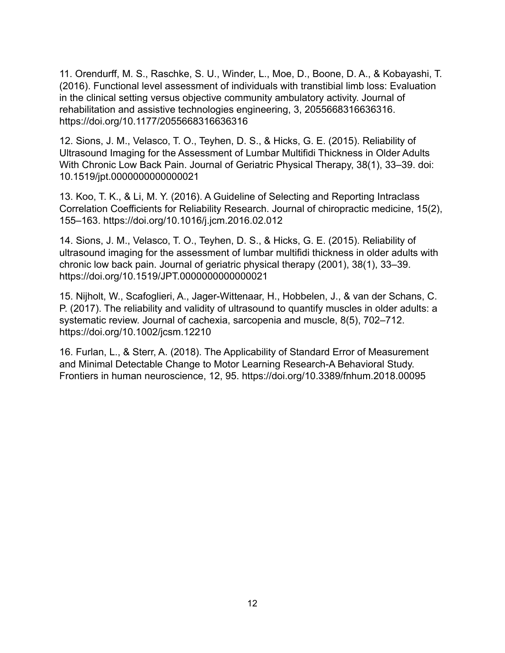11. Orendurff, M. S., Raschke, S. U., Winder, L., Moe, D., Boone, D. A., & Kobayashi, T. (2016). Functional level assessment of individuals with transtibial limb loss: Evaluation in the clinical setting versus objective community ambulatory activity. Journal of rehabilitation and assistive technologies engineering, 3, 2055668316636316. https://doi.org/10.1177/2055668316636316

12. Sions, J. M., Velasco, T. O., Teyhen, D. S., & Hicks, G. E. (2015). Reliability of Ultrasound Imaging for the Assessment of Lumbar Multifidi Thickness in Older Adults With Chronic Low Back Pain. Journal of Geriatric Physical Therapy, 38(1), 33–39. doi: 10.1519/jpt.0000000000000021

13. Koo, T. K., & Li, M. Y. (2016). A Guideline of Selecting and Reporting Intraclass Correlation Coefficients for Reliability Research. Journal of chiropractic medicine, 15(2), 155–163. https://doi.org/10.1016/j.jcm.2016.02.012

14. Sions, J. M., Velasco, T. O., Teyhen, D. S., & Hicks, G. E. (2015). Reliability of ultrasound imaging for the assessment of lumbar multifidi thickness in older adults with chronic low back pain. Journal of geriatric physical therapy (2001), 38(1), 33–39. https://doi.org/10.1519/JPT.0000000000000021

15. Nijholt, W., Scafoglieri, A., Jager-Wittenaar, H., Hobbelen, J., & van der Schans, C. P. (2017). The reliability and validity of ultrasound to quantify muscles in older adults: a systematic review. Journal of cachexia, sarcopenia and muscle, 8(5), 702–712. https://doi.org/10.1002/jcsm.12210

16. Furlan, L., & Sterr, A. (2018). The Applicability of Standard Error of Measurement and Minimal Detectable Change to Motor Learning Research-A Behavioral Study. Frontiers in human neuroscience, 12, 95. https://doi.org/10.3389/fnhum.2018.00095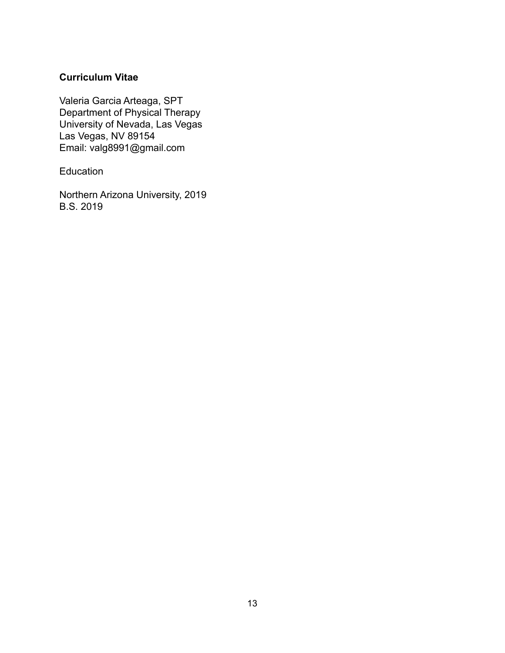## **Curriculum Vitae**

Valeria Garcia Arteaga, SPT Department of Physical Therapy University of Nevada, Las Vegas Las Vegas, NV 89154 Email: valg8991@gmail.com

Education

Northern Arizona University, 2019 B.S. 2019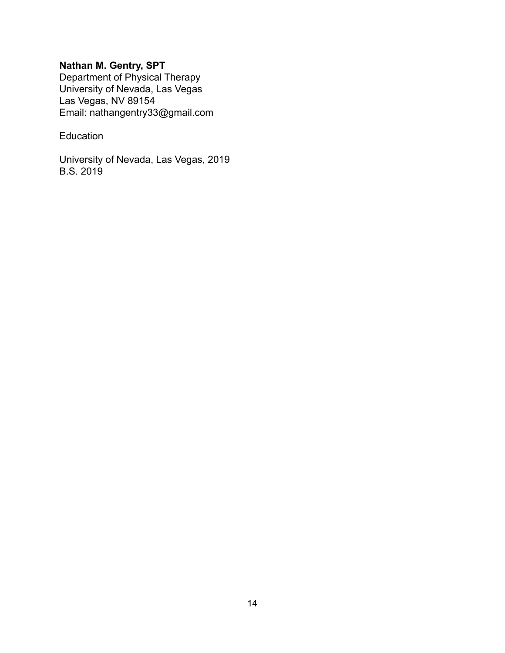# **Nathan M. Gentry, SPT**

Department of Physical Therapy University of Nevada, Las Vegas Las Vegas, NV 89154 Email: nathangentry33@gmail.com

## Education

University of Nevada, Las Vegas, 2019 B.S. 2019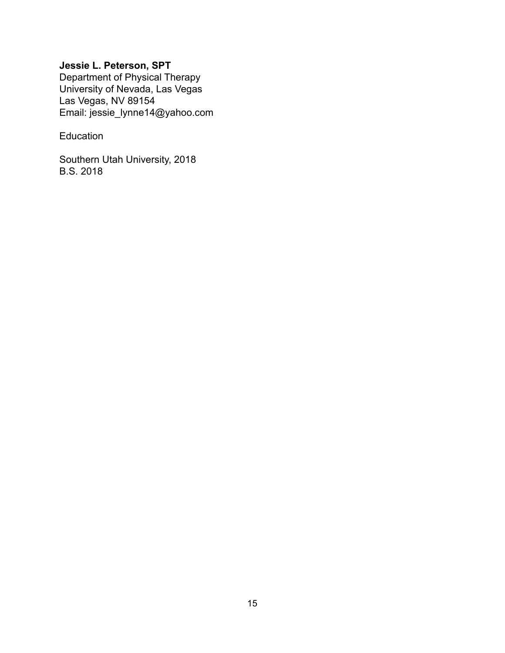# **Jessie L. Peterson, SPT**

Department of Physical Therapy University of Nevada, Las Vegas Las Vegas, NV 89154 Email: jessie\_lynne14@yahoo.com

## Education

Southern Utah University, 2018 B.S. 2018